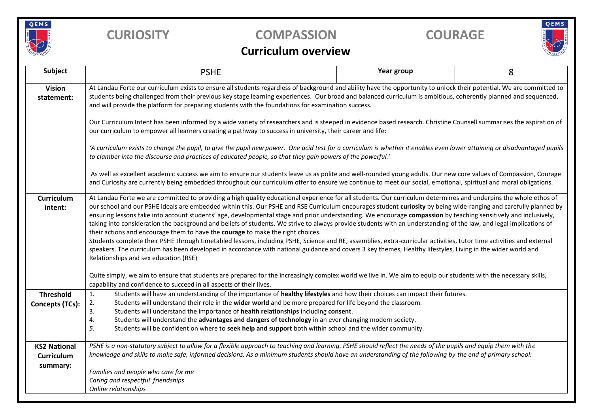

## **CURIOSITY COMPASSION COURAGE**

# QEMS

### **Curriculum overview**

| Subject                                       | <b>PSHE</b>                                                                                                                                                                                                                                                                                                                                                                                                                                                                                                                                                                                                                                                                                                                                                                                                                                                                                                                                                                                                                                                                                                                                      | Year group | 8 |  |  |  |  |  |  |
|-----------------------------------------------|--------------------------------------------------------------------------------------------------------------------------------------------------------------------------------------------------------------------------------------------------------------------------------------------------------------------------------------------------------------------------------------------------------------------------------------------------------------------------------------------------------------------------------------------------------------------------------------------------------------------------------------------------------------------------------------------------------------------------------------------------------------------------------------------------------------------------------------------------------------------------------------------------------------------------------------------------------------------------------------------------------------------------------------------------------------------------------------------------------------------------------------------------|------------|---|--|--|--|--|--|--|
| <b>Vision</b><br>statement:                   | At Landau Forte our curriculum exists to ensure all students regardless of background and ability have the opportunity to unlock their potential. We are committed to<br>students being challenged from their previous key stage learning experiences. Our broad and balanced curriculum is ambitious, coherently planned and sequenced,<br>and will provide the platform for preparing students with the foundations for examination success.                                                                                                                                                                                                                                                                                                                                                                                                                                                                                                                                                                                                                                                                                                   |            |   |  |  |  |  |  |  |
|                                               | Our Curriculum Intent has been informed by a wide variety of researchers and is steeped in evidence based research. Christine Counsell summarises the aspiration of<br>our curriculum to empower all learners creating a pathway to success in university, their career and life:                                                                                                                                                                                                                                                                                                                                                                                                                                                                                                                                                                                                                                                                                                                                                                                                                                                                |            |   |  |  |  |  |  |  |
|                                               | 'A curriculum exists to change the pupil, to give the pupil new power. One acid test for a curriculum is whether it enables even lower attaining or disadvantaged pupils<br>to clamber into the discourse and practices of educated people, so that they gain powers of the powerful.'                                                                                                                                                                                                                                                                                                                                                                                                                                                                                                                                                                                                                                                                                                                                                                                                                                                           |            |   |  |  |  |  |  |  |
|                                               | As well as excellent academic success we aim to ensure our students leave us as polite and well-rounded young adults. Our new core values of Compassion, Courage<br>and Curiosity are currently being embedded throughout our curriculum offer to ensure we continue to meet our social, emotional, spiritual and moral obligations.                                                                                                                                                                                                                                                                                                                                                                                                                                                                                                                                                                                                                                                                                                                                                                                                             |            |   |  |  |  |  |  |  |
| Curriculum<br>intent:                         | At Landau Forte we are committed to providing a high quality educational experience for all students. Our curriculum determines and underpins the whole ethos of<br>our school and our PSHE ideals are embedded within this. Our PSHE and RSE Curriculum encourages student curiosity by being wide-ranging and carefully planned by<br>ensuring lessons take into account students' age, developmental stage and prior understanding. We encourage compassion by teaching sensitively and inclusively,<br>taking into consideration the background and beliefs of students. We strive to always provide students with an understanding of the law, and legal implications of<br>their actions and encourage them to have the courage to make the right choices.<br>Students complete their PSHE through timetabled lessons, including PSHE, Science and RE, assemblies, extra-curricular activities, tutor time activities and external<br>speakers. The curriculum has been developed in accordance with national guidance and covers 3 key themes, Healthy lifestyles, Living in the wider world and<br>Relationships and sex education (RSE) |            |   |  |  |  |  |  |  |
|                                               | Quite simply, we aim to ensure that students are prepared for the increasingly complex world we live in. We aim to equip our students with the necessary skills,<br>capability and confidence to succeed in all aspects of their lives.                                                                                                                                                                                                                                                                                                                                                                                                                                                                                                                                                                                                                                                                                                                                                                                                                                                                                                          |            |   |  |  |  |  |  |  |
| <b>Threshold</b><br>Concepts (TCs):           | Students will have an understanding of the importance of healthy lifestyles and how their choices can impact their futures.<br>$\mathbf{1}$ .<br>Students will understand their role in the wider world and be more prepared for life beyond the classroom.<br>2.<br>3.<br>Students will understand the importance of health relationships including consent.<br>4.<br>Students will understand the advantages and dangers of technology in an ever changing modern society.<br>5.<br>Students will be confident on where to seek help and support both within school and the wider community.                                                                                                                                                                                                                                                                                                                                                                                                                                                                                                                                                   |            |   |  |  |  |  |  |  |
| <b>KS2 National</b><br>Curriculum<br>summary: | PSHE is a non-statutory subject to allow for a flexible approach to teaching and learning. PSHE should reflect the needs of the pupils and equip them with the<br>knowledge and skills to make safe, informed decisions. As a minimum students should have an understanding of the following by the end of primary school:<br>Families and people who care for me<br>Caring and respectful friendships<br>Online relationships                                                                                                                                                                                                                                                                                                                                                                                                                                                                                                                                                                                                                                                                                                                   |            |   |  |  |  |  |  |  |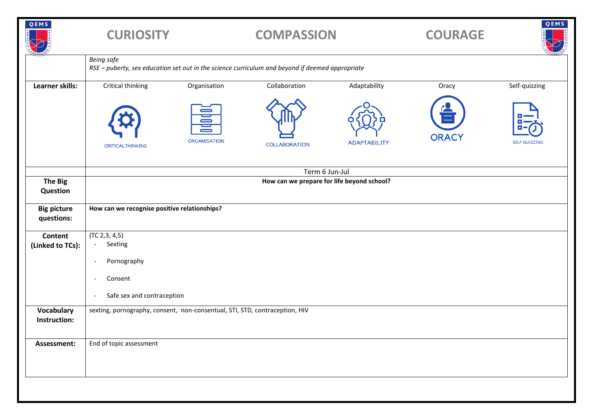| QEMS                             | <b>CURIOSITY</b>                                                                                                     |                          | <b>COMPASSION</b>    |                     | <b>COURAGE</b> | QEMS                 |  |
|----------------------------------|----------------------------------------------------------------------------------------------------------------------|--------------------------|----------------------|---------------------|----------------|----------------------|--|
|                                  | <b>Being safe</b><br>RSE - puberty, sex education set out in the science curriculum and beyond if deemed appropriate |                          |                      |                     |                |                      |  |
| Learner skills:                  | Critical thinking                                                                                                    | Organisation             | Collaboration        | Adaptability        | Oracy          | Self-quizzing        |  |
|                                  | <b>CRITICAL THINKING</b>                                                                                             | 冒<br><b>ORGANISATION</b> | <b>COLLABORATION</b> | <b>ADAPTABILITY</b> | <b>ORACY</b>   | <b>SELF QUIZZING</b> |  |
|                                  | Term 6 Jun-Jul                                                                                                       |                          |                      |                     |                |                      |  |
| <b>The Big</b><br>Question       | How can we prepare for life beyond school?                                                                           |                          |                      |                     |                |                      |  |
| <b>Big picture</b><br>questions: | How can we recognise positive relationships?                                                                         |                          |                      |                     |                |                      |  |
| <b>Content</b>                   | (TC 2, 3, 4, 5)<br>Sexting<br>$\overline{\phantom{a}}$                                                               |                          |                      |                     |                |                      |  |
| (Linked to TCs):                 |                                                                                                                      |                          |                      |                     |                |                      |  |
|                                  | Pornography<br>$\overline{\phantom{a}}$                                                                              |                          |                      |                     |                |                      |  |
|                                  | Consent<br>$\overline{\phantom{a}}$                                                                                  |                          |                      |                     |                |                      |  |
|                                  | Safe sex and contraception<br>$\overline{\phantom{a}}$                                                               |                          |                      |                     |                |                      |  |
| Vocabulary<br>Instruction:       | sexting, pornography, consent, non-consentual, STI, STD, contraception, HIV                                          |                          |                      |                     |                |                      |  |
| Assessment:                      | End of topic assessment                                                                                              |                          |                      |                     |                |                      |  |
|                                  |                                                                                                                      |                          |                      |                     |                |                      |  |
|                                  |                                                                                                                      |                          |                      |                     |                |                      |  |